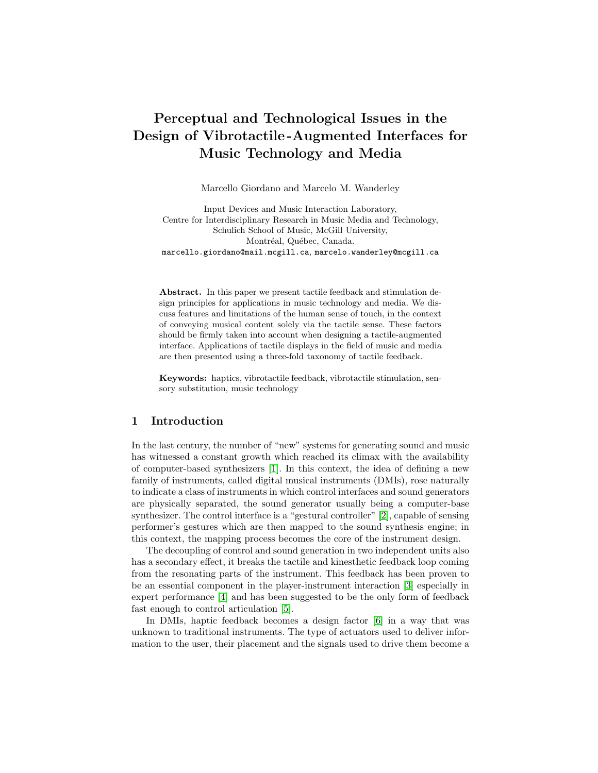# <span id="page-0-0"></span>Perceptual and Technological Issues in the Design of Vibrotactile -Augmented Interfaces for Music Technology and Media

Marcello Giordano and Marcelo M. Wanderley

Input Devices and Music Interaction Laboratory, Centre for Interdisciplinary Research in Music Media and Technology, Schulich School of Music, McGill University, Montréal, Québec, Canada. marcello.giordano@mail.mcgill.ca, marcelo.wanderley@mcgill.ca

Abstract. In this paper we present tactile feedback and stimulation design principles for applications in music technology and media. We discuss features and limitations of the human sense of touch, in the context of conveying musical content solely via the tactile sense. These factors should be firmly taken into account when designing a tactile-augmented interface. Applications of tactile displays in the field of music and media are then presented using a three-fold taxonomy of tactile feedback.

Keywords: haptics, vibrotactile feedback, vibrotactile stimulation, sensory substitution, music technology

## 1 Introduction

In the last century, the number of "new" systems for generating sound and music has witnessed a constant growth which reached its climax with the availability of computer-based synthesizers [\[1\]](#page-8-0). In this context, the idea of defining a new family of instruments, called digital musical instruments (DMIs), rose naturally to indicate a class of instruments in which control interfaces and sound generators are physically separated, the sound generator usually being a computer-base synthesizer. The control interface is a "gestural controller" [\[2\]](#page-8-1), capable of sensing performer's gestures which are then mapped to the sound synthesis engine; in this context, the mapping process becomes the core of the instrument design.

The decoupling of control and sound generation in two independent units also has a secondary effect, it breaks the tactile and kinesthetic feedback loop coming from the resonating parts of the instrument. This feedback has been proven to be an essential component in the player-instrument interaction [\[3\]](#page-8-2) especially in expert performance [\[4\]](#page-8-3) and has been suggested to be the only form of feedback fast enough to control articulation [\[5\]](#page-8-4).

In DMIs, haptic feedback becomes a design factor [\[6\]](#page-8-5) in a way that was unknown to traditional instruments. The type of actuators used to deliver information to the user, their placement and the signals used to drive them become a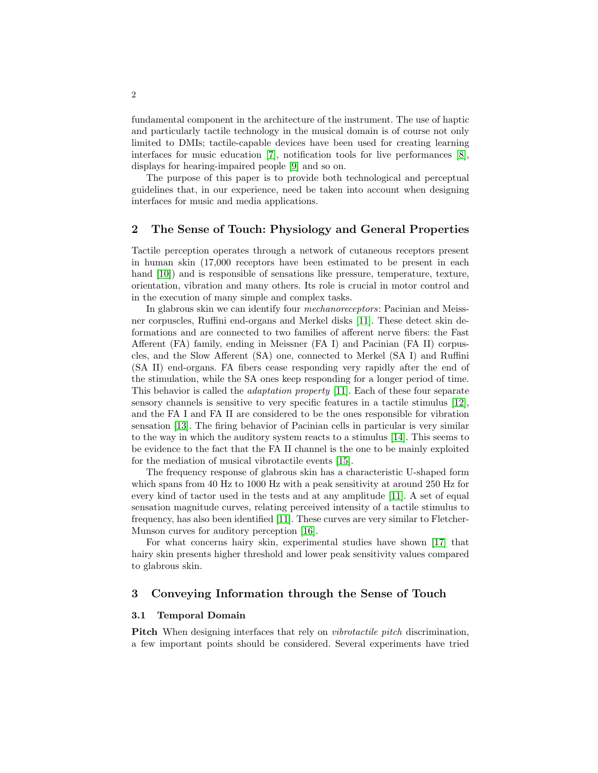fundamental component in the architecture of the instrument. The use of haptic and particularly tactile technology in the musical domain is of course not only limited to DMIs; tactile-capable devices have been used for creating learning interfaces for music education [\[7\]](#page-8-6), notification tools for live performances [\[8\]](#page-8-7), displays for hearing-impaired people [\[9\]](#page-8-8) and so on.

The purpose of this paper is to provide both technological and perceptual guidelines that, in our experience, need be taken into account when designing interfaces for music and media applications.

## 2 The Sense of Touch: Physiology and General Properties

Tactile perception operates through a network of cutaneous receptors present in human skin (17,000 receptors have been estimated to be present in each hand  $[10]$  and is responsible of sensations like pressure, temperature, texture, orientation, vibration and many others. Its role is crucial in motor control and in the execution of many simple and complex tasks.

In glabrous skin we can identify four mechanoreceptors: Pacinian and Meissner corpuscles, Ruffini end-organs and Merkel disks [\[11\]](#page-8-10). These detect skin deformations and are connected to two families of afferent nerve fibers: the Fast Afferent (FA) family, ending in Meissner (FA I) and Pacinian (FA II) corpuscles, and the Slow Afferent (SA) one, connected to Merkel (SA I) and Ruffini (SA II) end-organs. FA fibers cease responding very rapidly after the end of the stimulation, while the SA ones keep responding for a longer period of time. This behavior is called the adaptation property [\[11\]](#page-8-10). Each of these four separate sensory channels is sensitive to very specific features in a tactile stimulus [\[12\]](#page-8-11), and the FA I and FA II are considered to be the ones responsible for vibration sensation [\[13\]](#page-8-12). The firing behavior of Pacinian cells in particular is very similar to the way in which the auditory system reacts to a stimulus [\[14\]](#page-8-13). This seems to be evidence to the fact that the FA II channel is the one to be mainly exploited for the mediation of musical vibrotactile events [\[15\]](#page-8-14).

The frequency response of glabrous skin has a characteristic U-shaped form which spans from 40 Hz to 1000 Hz with a peak sensitivity at around 250 Hz for every kind of tactor used in the tests and at any amplitude [\[11\]](#page-8-10). A set of equal sensation magnitude curves, relating perceived intensity of a tactile stimulus to frequency, has also been identified [\[11\]](#page-8-10). These curves are very similar to Fletcher-Munson curves for auditory perception [\[16\]](#page-8-15).

For what concerns hairy skin, experimental studies have shown [\[17\]](#page-8-16) that hairy skin presents higher threshold and lower peak sensitivity values compared to glabrous skin.

## 3 Conveying Information through the Sense of Touch

#### 3.1 Temporal Domain

Pitch When designing interfaces that rely on *vibrotactile pitch* discrimination, a few important points should be considered. Several experiments have tried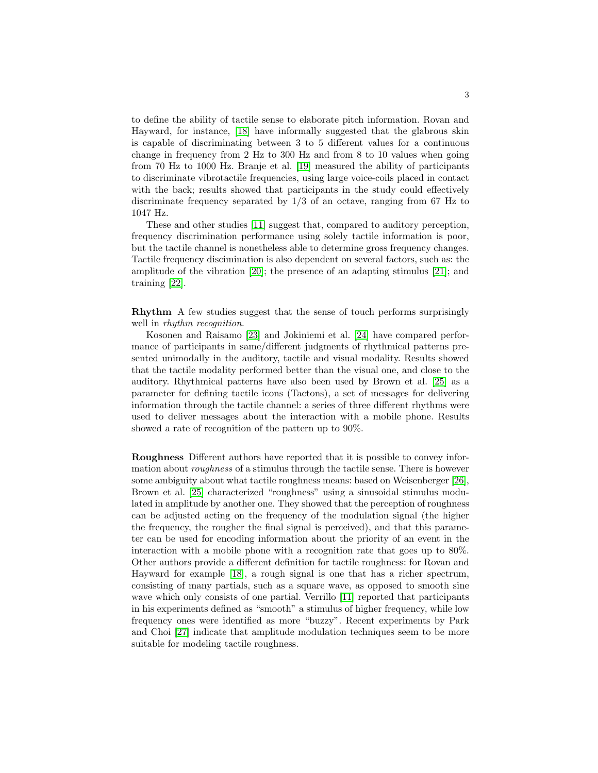to define the ability of tactile sense to elaborate pitch information. Rovan and Hayward, for instance, [\[18\]](#page-8-17) have informally suggested that the glabrous skin is capable of discriminating between 3 to 5 different values for a continuous change in frequency from 2 Hz to 300 Hz and from 8 to 10 values when going from 70 Hz to 1000 Hz. Branje et al. [\[19\]](#page-8-18) measured the ability of participants to discriminate vibrotactile frequencies, using large voice-coils placed in contact with the back; results showed that participants in the study could effectively discriminate frequency separated by  $1/3$  of an octave, ranging from 67 Hz to 1047 Hz.

These and other studies [\[11\]](#page-8-10) suggest that, compared to auditory perception, frequency discrimination performance using solely tactile information is poor, but the tactile channel is nonetheless able to determine gross frequency changes. Tactile frequency discimination is also dependent on several factors, such as: the amplitude of the vibration [\[20\]](#page-8-19); the presence of an adapting stimulus [\[21\]](#page-9-0); and training [\[22\]](#page-9-1).

Rhythm A few studies suggest that the sense of touch performs surprisingly well in *rhythm recognition*.

Kosonen and Raisamo [\[23\]](#page-9-2) and Jokiniemi et al. [\[24\]](#page-9-3) have compared performance of participants in same/different judgments of rhythmical patterns presented unimodally in the auditory, tactile and visual modality. Results showed that the tactile modality performed better than the visual one, and close to the auditory. Rhythmical patterns have also been used by Brown et al. [\[25\]](#page-9-4) as a parameter for defining tactile icons (Tactons), a set of messages for delivering information through the tactile channel: a series of three different rhythms were used to deliver messages about the interaction with a mobile phone. Results showed a rate of recognition of the pattern up to 90%.

Roughness Different authors have reported that it is possible to convey information about *roughness* of a stimulus through the tactile sense. There is however some ambiguity about what tactile roughness means: based on Weisenberger [\[26\]](#page-9-5), Brown et al. [\[25\]](#page-9-4) characterized "roughness" using a sinusoidal stimulus modulated in amplitude by another one. They showed that the perception of roughness can be adjusted acting on the frequency of the modulation signal (the higher the frequency, the rougher the final signal is perceived), and that this parameter can be used for encoding information about the priority of an event in the interaction with a mobile phone with a recognition rate that goes up to 80%. Other authors provide a different definition for tactile roughness: for Rovan and Hayward for example [\[18\]](#page-8-17), a rough signal is one that has a richer spectrum, consisting of many partials, such as a square wave, as opposed to smooth sine wave which only consists of one partial. Verrillo [\[11\]](#page-8-10) reported that participants in his experiments defined as "smooth" a stimulus of higher frequency, while low frequency ones were identified as more "buzzy". Recent experiments by Park and Choi [\[27\]](#page-9-6) indicate that amplitude modulation techniques seem to be more suitable for modeling tactile roughness.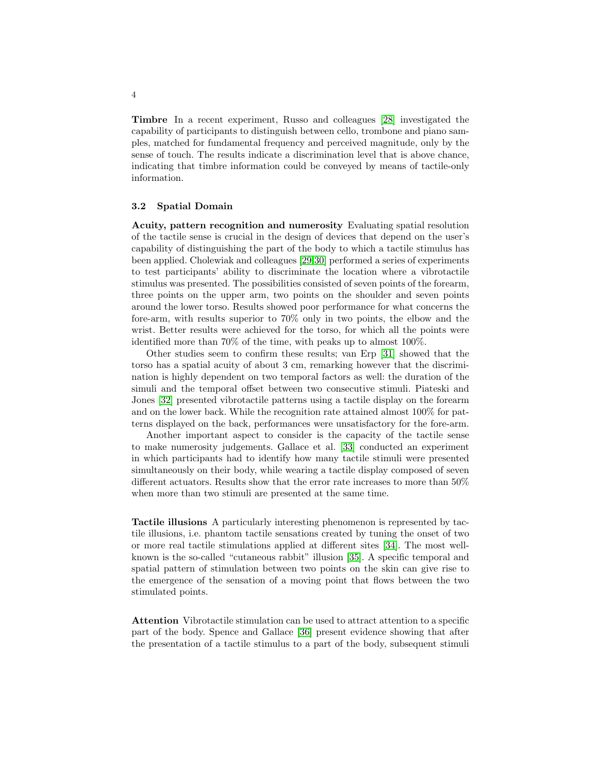Timbre In a recent experiment, Russo and colleagues [\[28\]](#page-9-7) investigated the capability of participants to distinguish between cello, trombone and piano samples, matched for fundamental frequency and perceived magnitude, only by the sense of touch. The results indicate a discrimination level that is above chance, indicating that timbre information could be conveyed by means of tactile-only information.

#### 3.2 Spatial Domain

Acuity, pattern recognition and numerosity Evaluating spatial resolution of the tactile sense is crucial in the design of devices that depend on the user's capability of distinguishing the part of the body to which a tactile stimulus has been applied. Cholewiak and colleagues [\[29,](#page-9-8)[30\]](#page-9-9) performed a series of experiments to test participants' ability to discriminate the location where a vibrotactile stimulus was presented. The possibilities consisted of seven points of the forearm, three points on the upper arm, two points on the shoulder and seven points around the lower torso. Results showed poor performance for what concerns the fore-arm, with results superior to 70% only in two points, the elbow and the wrist. Better results were achieved for the torso, for which all the points were identified more than 70% of the time, with peaks up to almost 100%.

Other studies seem to confirm these results; van Erp [\[31\]](#page-9-10) showed that the torso has a spatial acuity of about 3 cm, remarking however that the discrimination is highly dependent on two temporal factors as well: the duration of the simuli and the temporal offset between two consecutive stimuli. Piateski and Jones [\[32\]](#page-9-11) presented vibrotactile patterns using a tactile display on the forearm and on the lower back. While the recognition rate attained almost 100% for patterns displayed on the back, performances were unsatisfactory for the fore-arm.

Another important aspect to consider is the capacity of the tactile sense to make numerosity judgements. Gallace et al. [\[33\]](#page-9-12) conducted an experiment in which participants had to identify how many tactile stimuli were presented simultaneously on their body, while wearing a tactile display composed of seven different actuators. Results show that the error rate increases to more than 50% when more than two stimuli are presented at the same time.

Tactile illusions A particularly interesting phenomenon is represented by tactile illusions, i.e. phantom tactile sensations created by tuning the onset of two or more real tactile stimulations applied at different sites [\[34\]](#page-9-13). The most wellknown is the so-called "cutaneous rabbit" illusion [\[35\]](#page-9-14). A specific temporal and spatial pattern of stimulation between two points on the skin can give rise to the emergence of the sensation of a moving point that flows between the two stimulated points.

Attention Vibrotactile stimulation can be used to attract attention to a specific part of the body. Spence and Gallace [\[36\]](#page-9-15) present evidence showing that after the presentation of a tactile stimulus to a part of the body, subsequent stimuli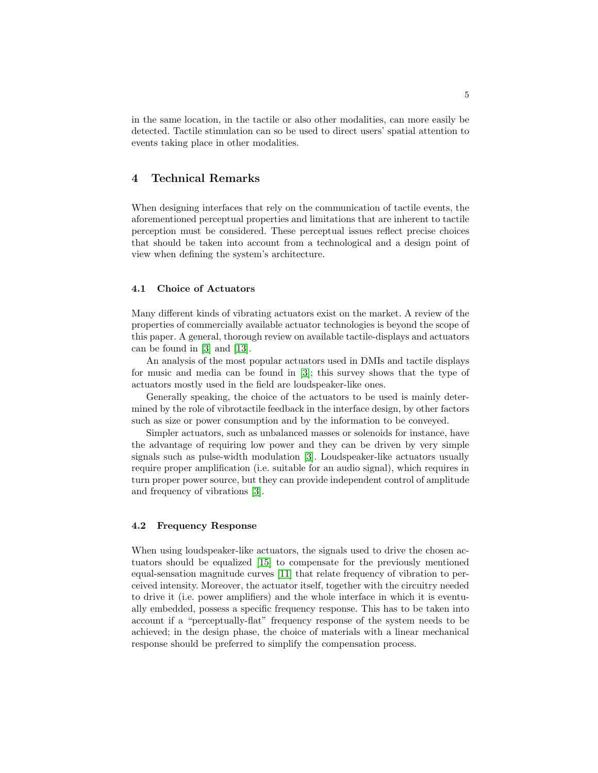in the same location, in the tactile or also other modalities, can more easily be detected. Tactile stimulation can so be used to direct users' spatial attention to events taking place in other modalities.

## <span id="page-4-0"></span>4 Technical Remarks

When designing interfaces that rely on the communication of tactile events, the aforementioned perceptual properties and limitations that are inherent to tactile perception must be considered. These perceptual issues reflect precise choices that should be taken into account from a technological and a design point of view when defining the system's architecture.

## 4.1 Choice of Actuators

Many different kinds of vibrating actuators exist on the market. A review of the properties of commercially available actuator technologies is beyond the scope of this paper. A general, thorough review on available tactile-displays and actuators can be found in [\[3\]](#page-8-2) and [\[13\]](#page-8-12).

An analysis of the most popular actuators used in DMIs and tactile displays for music and media can be found in [\[3\]](#page-8-2); this survey shows that the type of actuators mostly used in the field are loudspeaker-like ones.

Generally speaking, the choice of the actuators to be used is mainly determined by the role of vibrotactile feedback in the interface design, by other factors such as size or power consumption and by the information to be conveyed.

Simpler actuators, such as unbalanced masses or solenoids for instance, have the advantage of requiring low power and they can be driven by very simple signals such as pulse-width modulation [\[3\]](#page-8-2). Loudspeaker-like actuators usually require proper amplification (i.e. suitable for an audio signal), which requires in turn proper power source, but they can provide independent control of amplitude and frequency of vibrations [\[3\]](#page-8-2).

### 4.2 Frequency Response

When using loudspeaker-like actuators, the signals used to drive the chosen actuators should be equalized [\[15\]](#page-8-14) to compensate for the previously mentioned equal-sensation magnitude curves [\[11\]](#page-8-10) that relate frequency of vibration to perceived intensity. Moreover, the actuator itself, together with the circuitry needed to drive it (i.e. power amplifiers) and the whole interface in which it is eventually embedded, possess a specific frequency response. This has to be taken into account if a "perceptually-flat" frequency response of the system needs to be achieved; in the design phase, the choice of materials with a linear mechanical response should be preferred to simplify the compensation process.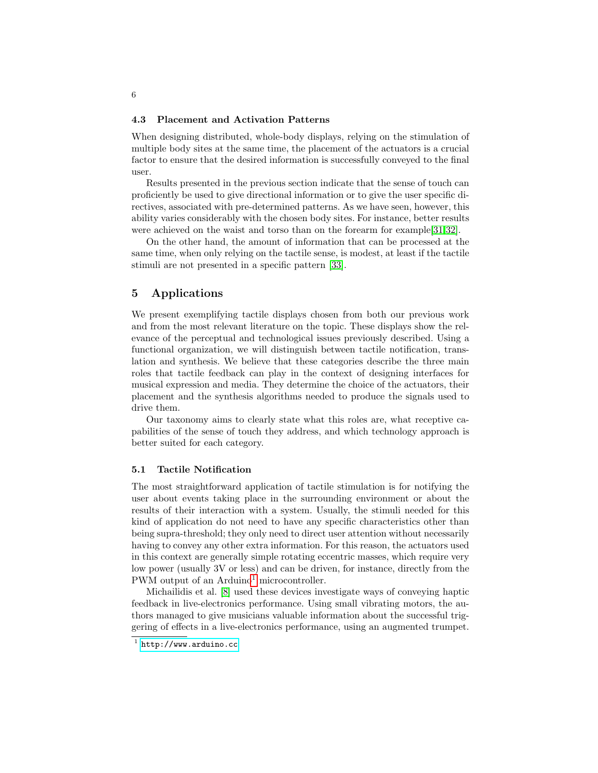#### 4.3 Placement and Activation Patterns

When designing distributed, whole-body displays, relying on the stimulation of multiple body sites at the same time, the placement of the actuators is a crucial factor to ensure that the desired information is successfully conveyed to the final user.

Results presented in the previous section indicate that the sense of touch can proficiently be used to give directional information or to give the user specific directives, associated with pre-determined patterns. As we have seen, however, this ability varies considerably with the chosen body sites. For instance, better results were achieved on the waist and torso than on the forearm for example[\[31,](#page-9-10)[32\]](#page-9-11).

On the other hand, the amount of information that can be processed at the same time, when only relying on the tactile sense, is modest, at least if the tactile stimuli are not presented in a specific pattern [\[33\]](#page-9-12).

## 5 Applications

We present exemplifying tactile displays chosen from both our previous work and from the most relevant literature on the topic. These displays show the relevance of the perceptual and technological issues previously described. Using a functional organization, we will distinguish between tactile notification, translation and synthesis. We believe that these categories describe the three main roles that tactile feedback can play in the context of designing interfaces for musical expression and media. They determine the choice of the actuators, their placement and the synthesis algorithms needed to produce the signals used to drive them.

Our taxonomy aims to clearly state what this roles are, what receptive capabilities of the sense of touch they address, and which technology approach is better suited for each category.

#### 5.1 Tactile Notification

The most straightforward application of tactile stimulation is for notifying the user about events taking place in the surrounding environment or about the results of their interaction with a system. Usually, the stimuli needed for this kind of application do not need to have any specific characteristics other than being supra-threshold; they only need to direct user attention without necessarily having to convey any other extra information. For this reason, the actuators used in this context are generally simple rotating eccentric masses, which require very low power (usually 3V or less) and can be driven, for instance, directly from the PWM output of an Arduino<sup>[1](#page-0-0)</sup> microcontroller.

Michailidis et al. [\[8\]](#page-8-7) used these devices investigate ways of conveying haptic feedback in live-electronics performance. Using small vibrating motors, the authors managed to give musicians valuable information about the successful triggering of effects in a live-electronics performance, using an augmented trumpet.

6

 $<sup>1</sup>$  <http://www.arduino.cc></sup>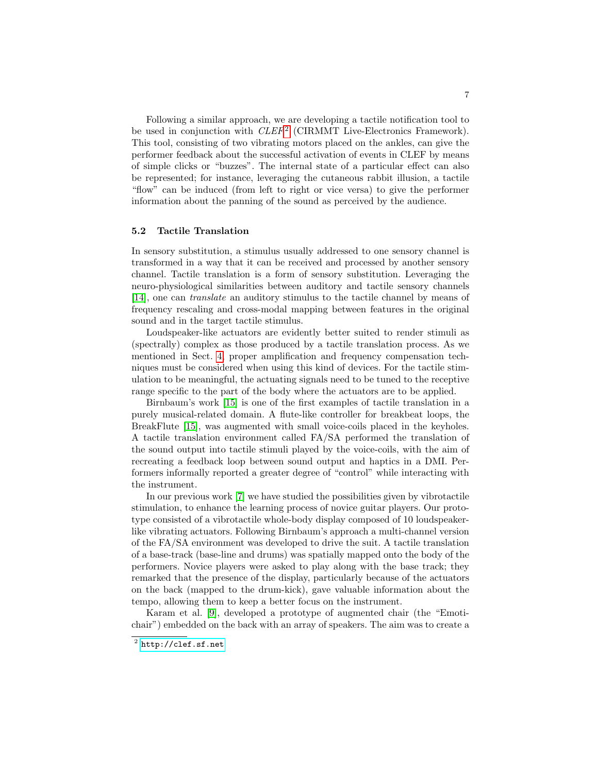Following a similar approach, we are developing a tactile notification tool to be used in conjunction with CLEF<sup>[2](#page-0-0)</sup> (CIRMMT Live-Electronics Framework). This tool, consisting of two vibrating motors placed on the ankles, can give the performer feedback about the successful activation of events in CLEF by means of simple clicks or "buzzes". The internal state of a particular effect can also be represented; for instance, leveraging the cutaneous rabbit illusion, a tactile "flow" can be induced (from left to right or vice versa) to give the performer information about the panning of the sound as perceived by the audience.

#### 5.2 Tactile Translation

In sensory substitution, a stimulus usually addressed to one sensory channel is transformed in a way that it can be received and processed by another sensory channel. Tactile translation is a form of sensory substitution. Leveraging the neuro-physiological similarities between auditory and tactile sensory channels [\[14\]](#page-8-13), one can translate an auditory stimulus to the tactile channel by means of frequency rescaling and cross-modal mapping between features in the original sound and in the target tactile stimulus.

Loudspeaker-like actuators are evidently better suited to render stimuli as (spectrally) complex as those produced by a tactile translation process. As we mentioned in Sect. [4,](#page-4-0) proper amplification and frequency compensation techniques must be considered when using this kind of devices. For the tactile stimulation to be meaningful, the actuating signals need to be tuned to the receptive range specific to the part of the body where the actuators are to be applied.

Birnbaum's work [\[15\]](#page-8-14) is one of the first examples of tactile translation in a purely musical-related domain. A flute-like controller for breakbeat loops, the BreakFlute [\[15\]](#page-8-14), was augmented with small voice-coils placed in the keyholes. A tactile translation environment called FA/SA performed the translation of the sound output into tactile stimuli played by the voice-coils, with the aim of recreating a feedback loop between sound output and haptics in a DMI. Performers informally reported a greater degree of "control" while interacting with the instrument.

In our previous work [\[7\]](#page-8-6) we have studied the possibilities given by vibrotactile stimulation, to enhance the learning process of novice guitar players. Our prototype consisted of a vibrotactile whole-body display composed of 10 loudspeakerlike vibrating actuators. Following Birnbaum's approach a multi-channel version of the FA/SA environment was developed to drive the suit. A tactile translation of a base-track (base-line and drums) was spatially mapped onto the body of the performers. Novice players were asked to play along with the base track; they remarked that the presence of the display, particularly because of the actuators on the back (mapped to the drum-kick), gave valuable information about the tempo, allowing them to keep a better focus on the instrument.

Karam et al. [\[9\]](#page-8-8), developed a prototype of augmented chair (the "Emotichair") embedded on the back with an array of speakers. The aim was to create a

 $^2$  http:// ${\tt clef.sf.net}$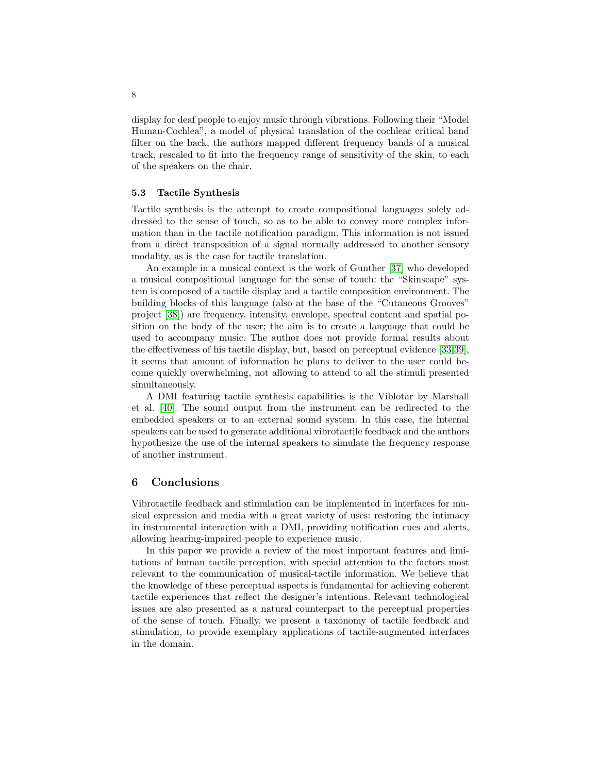display for deaf people to enjoy music through vibrations. Following their "Model Human-Cochlea", a model of physical translation of the cochlear critical band filter on the back, the authors mapped different frequency bands of a musical track, rescaled to fit into the frequency range of sensitivity of the skin, to each of the speakers on the chair.

#### 5.3 Tactile Synthesis

Tactile synthesis is the attempt to create compositional languages solely addressed to the sense of touch, so as to be able to convey more complex information than in the tactile notification paradigm. This information is not issued from a direct transposition of a signal normally addressed to another sensory modality, as is the case for tactile translation.

An example in a musical context is the work of Gunther [\[37\]](#page-9-16) who developed a musical compositional language for the sense of touch: the "Skinscape" system is composed of a tactile display and a tactile composition environment. The building blocks of this language (also at the base of the "Cutaneous Grooves" project [\[38\]](#page-9-17)) are frequency, intensity, envelope, spectral content and spatial position on the body of the user; the aim is to create a language that could be used to accompany music. The author does not provide formal results about the effectiveness of his tactile display, but, based on perceptual evidence [\[33,](#page-9-12)[39\]](#page-9-18), it seems that amount of information he plans to deliver to the user could become quickly overwhelming, not allowing to attend to all the stimuli presented simultaneously.

A DMI featuring tactile synthesis capabilities is the Viblotar by Marshall et al. [\[40\]](#page-9-19). The sound output from the instrument can be redirected to the embedded speakers or to an external sound system. In this case, the internal speakers can be used to generate additional vibrotactile feedback and the authors hypothesize the use of the internal speakers to simulate the frequency response of another instrument.

## 6 Conclusions

Vibrotactile feedback and stimulation can be implemented in interfaces for musical expression and media with a great variety of uses: restoring the intimacy in instrumental interaction with a DMI, providing notification cues and alerts, allowing hearing-impaired people to experience music.

In this paper we provide a review of the most important features and limitations of human tactile perception, with special attention to the factors most relevant to the communication of musical-tactile information. We believe that the knowledge of these perceptual aspects is fundamental for achieving coherent tactile experiences that reflect the designer's intentions. Relevant technological issues are also presented as a natural counterpart to the perceptual properties of the sense of touch. Finally, we present a taxonomy of tactile feedback and stimulation, to provide exemplary applications of tactile-augmented interfaces in the domain.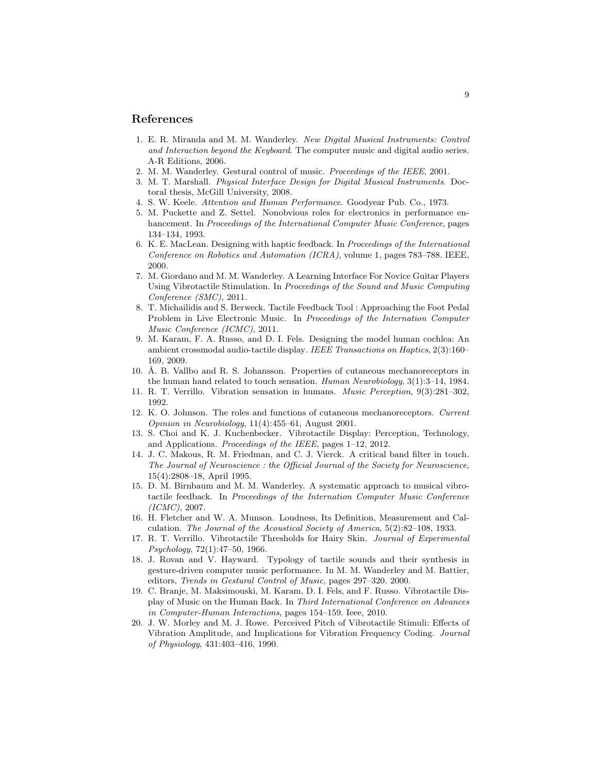## References

- <span id="page-8-0"></span>1. E. R. Miranda and M. M. Wanderley. New Digital Musical Instruments: Control and Interaction beyond the Keyboard. The computer music and digital audio series. A-R Editions, 2006.
- <span id="page-8-1"></span>2. M. M. Wanderley. Gestural control of music. Proceedings of the IEEE, 2001.
- <span id="page-8-2"></span>3. M. T. Marshall. Physical Interface Design for Digital Musical Instruments. Doctoral thesis, McGill University, 2008.
- <span id="page-8-3"></span>4. S. W. Keele. Attention and Human Performance. Goodyear Pub. Co., 1973.
- <span id="page-8-4"></span>5. M. Puckette and Z. Settel. Nonobvious roles for electronics in performance enhancement. In Proceedings of the International Computer Music Conference, pages 134–134, 1993.
- <span id="page-8-5"></span>6. K. E. MacLean. Designing with haptic feedback. In Proceedings of the International Conference on Robotics and Automation (ICRA), volume 1, pages 783–788. IEEE, 2000.
- <span id="page-8-6"></span>7. M. Giordano and M. M. Wanderley. A Learning Interface For Novice Guitar Players Using Vibrotactile Stimulation. In Proceedings of the Sound and Music Computing Conference (SMC), 2011.
- <span id="page-8-7"></span>8. T. Michailidis and S. Berweck. Tactile Feedback Tool : Approaching the Foot Pedal Problem in Live Electronic Music. In Proceedings of the Internation Computer Music Conference (ICMC), 2011.
- <span id="page-8-8"></span>9. M. Karam, F. A. Russo, and D. I. Fels. Designing the model human cochlea: An ambient crossmodal audio-tactile display. IEEE Transactions on Haptics, 2(3):160– 169, 2009.
- <span id="page-8-9"></span>10. Å. B. Vallbo and R. S. Johansson. Properties of cutaneous mechanoreceptors in the human hand related to touch sensation. Human Neurobiology, 3(1):3–14, 1984.
- <span id="page-8-10"></span>11. R. T. Verrillo. Vibration sensation in humans. Music Perception, 9(3):281–302, 1992.
- <span id="page-8-11"></span>12. K. O. Johnson. The roles and functions of cutaneous mechanoreceptors. Current Opinion in Neurobiology, 11(4):455–61, August 2001.
- <span id="page-8-12"></span>13. S. Choi and K. J. Kuchenbecker. Vibrotactile Display: Perception, Technology, and Applications. Proceedings of the IEEE, pages 1–12, 2012.
- <span id="page-8-13"></span>14. J. C. Makous, R. M. Friedman, and C. J. Vierck. A critical band filter in touch. The Journal of Neuroscience : the Official Journal of the Society for Neuroscience, 15(4):2808–18, April 1995.
- <span id="page-8-14"></span>15. D. M. Birnbaum and M. M. Wanderley. A systematic approach to musical vibrotactile feedback. In Proceedings of the Internation Computer Music Conference (ICMC), 2007.
- <span id="page-8-15"></span>16. H. Fletcher and W. A. Munson. Loudness, Its Definition, Measurement and Calculation. The Journal of the Acoustical Society of America, 5(2):82–108, 1933.
- <span id="page-8-16"></span>17. R. T. Verrillo. Vibrotactile Thresholds for Hairy Skin. Journal of Experimental Psychology, 72(1):47–50, 1966.
- <span id="page-8-17"></span>18. J. Rovan and V. Hayward. Typology of tactile sounds and their synthesis in gesture-driven computer music performance. In M. M. Wanderley and M. Battier, editors, Trends in Gestural Control of Music, pages 297–320. 2000.
- <span id="page-8-18"></span>19. C. Branje, M. Maksimouski, M. Karam, D. I. Fels, and F. Russo. Vibrotactile Display of Music on the Human Back. In Third International Conference on Advances in Computer-Human Interactions, pages 154–159. Ieee, 2010.
- <span id="page-8-19"></span>20. J. W. Morley and M. J. Rowe. Perceived Pitch of Vibrotactile Stimuli: Effects of Vibration Amplitude, and Implications for Vibration Frequency Coding. Journal of Physiology, 431:403–416, 1990.